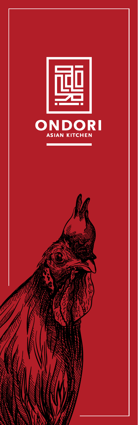

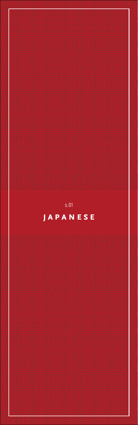

## $s.01$

## **JAPANESE**

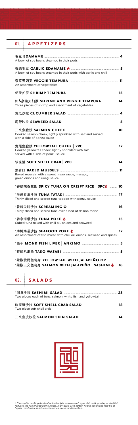| 01. APPETIZERS                                                                               |  |
|----------------------------------------------------------------------------------------------|--|
| A bowl of soy beans steamed in their pods                                                    |  |
| A bowl of soy beans steamed in their pods with garlic and chili                              |  |
| An assortment of vegetables                                                                  |  |
|                                                                                              |  |
| 虾&杂菜天妇罗 SHRIMP AND VEGGIE TEMPURA  14<br>Three pieces of shrimp and assortment of vegetables |  |
|                                                                                              |  |
|                                                                                              |  |
| Cooked salmon cheek, lightly sprinkled with salt and served<br>with a side of ponzu sauce    |  |
| Cooked yellowtail cheek, lightly sprinkled with salt,<br>served with a side of ponzu sauce   |  |
|                                                                                              |  |
| Baked mussels with a sweet mayo sauce, masago,<br>green onions and unagi sauce               |  |
| *香脆辣吞拿飯 SPICY TUNA ON CRISPY RICE│3PC♪ ……… 10                                                |  |
| Thinly sliced and seared tuna topped with ponzu sauce                                        |  |
| Thinly sliced and seared tuna over a bed of daikon radish                                    |  |
| Cubed tuna mixed with chili oil, onions and seaweed                                          |  |
| An assortment of fish mixed with chili oil, onions, seaweed and spices                       |  |
|                                                                                              |  |
|                                                                                              |  |
| *辣椒黄尾鱼刺身 YELLOWTAIL WITH JALAPEÑO OR<br>*辣椒三文鱼刺身 SALMON WITH JALAPEÑO│SASHIMI♪ 16            |  |
| 02. SALADS                                                                                   |  |

| Two pieces each of tuna, salmon, white fish and vellowtail |  |
|------------------------------------------------------------|--|
| Two piece soft shell crab                                  |  |

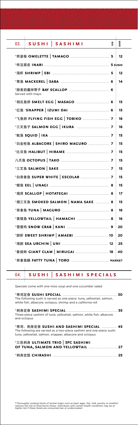*Specials come with one miso soup and one cucumber salad.*

\*寿司定食 **sushi special** ............................................................................ **30** The following sushi is served as one-piece: tuna, yellowtail, salmon, white fish, albacore, octopus, shrimp and a california roll

|--|--|--|--|--|

Three-piece sashimi of tuna, yellowtail, salmon, white fish, albacore and octopus

| *寿司、 刺身定食 SUSHI AND SASHIMI SPECIAL  45<br>The following are served as a two-piece sashimi and one-piece sushi:<br>tuna, yellowtail, salmon, snapper, albacore and octopus |  |
|----------------------------------------------------------------------------------------------------------------------------------------------------------------------------|--|
| *三色刺身 ULTIMATE TRIO   3PC SASHIMI                                                                                                                                          |  |
|                                                                                                                                                                            |  |

|  | 04. SUSHI SASHIMI SPECIALS |  |
|--|----------------------------|--|
|  |                            |  |

| <b>SUSHI</b><br><b>SASHIMI</b><br>03. | ilism | SASHIMI |
|---------------------------------------|-------|---------|
|                                       |       | 12      |
|                                       |       |         |
|                                       |       | 12      |
|                                       |       | 14      |
| Served with mayo                      |       |         |
|                                       |       | 15      |
|                                       |       | 15      |
|                                       |       | 16      |
|                                       |       | 16      |
|                                       |       | 15      |
|                                       |       | 15      |
|                                       |       | 15      |
|                                       |       | 15      |
|                                       |       | 15      |
|                                       |       | 15      |
|                                       |       | 15      |
|                                       |       | 17      |
| *烟三文鱼 SMOKED SALMON   NAMA SAKE  8    |       | 15      |
|                                       |       | 16      |
|                                       |       | 16      |
|                                       |       | 20      |
|                                       |       | 20      |
|                                       |       | 25      |
|                                       |       | 40      |
|                                       |       |         |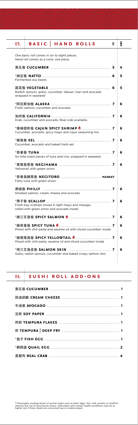# 06. **sushi roll add-ons**

╦

|                                                                                                  | 등 | € |
|--------------------------------------------------------------------------------------------------|---|---|
| 05.<br><b>BASIC</b><br><b>HAND ROLLS</b>                                                         |   |   |
| One basic roll comes in six to eight pieces.                                                     |   |   |
| Hand roll comes as a cone, one piece.                                                            |   |   |
|                                                                                                  |   | 4 |
|                                                                                                  |   | 5 |
| Fermented soy beans                                                                              |   |   |
|                                                                                                  |   | 5 |
| Radish sprouts, gobo, cucumber, takuan, inari and avocado<br>wrapped in seaweed                  |   |   |
|                                                                                                  |   | 6 |
| Fresh salmon, cucumber and avocado                                                               |   |   |
|                                                                                                  |   | 6 |
| Krab, cucumber and avocado. Real crab available.                                                 |   |   |
| Cucumber, avocado, spicy mayo and cajun seasoning mix                                            |   | 6 |
|                                                                                                  |   |   |
| Cucumber, avocado and baked fresh eel                                                            |   | 6 |
|                                                                                                  |   | 6 |
| Six bite-sized pieces of tuna and rice, wrapped in seaweed                                       |   |   |
|                                                                                                  |   | 6 |
| Yellowtail with green onion                                                                      |   |   |
| Fatty tuna with green onion                                                                      |   |   |
|                                                                                                  |   |   |
| Smoked salmon, cream cheese and avocado                                                          |   | 6 |
|                                                                                                  |   | 6 |
| Fresh bay scallops mixed in light mayo and masago,<br>rolled with green onion and avocado inside |   |   |
|                                                                                                  |   |   |
|                                                                                                  |   | 6 |
|                                                                                                  |   | 6 |
| Mixed with chili paste and sesame oil with sliced cucumber inside                                |   |   |
| Mixed with chili paste, sesame oil and sliced cucumber inside                                    |   | 6 |
|                                                                                                  |   |   |
|                                                                                                  |   | 6 |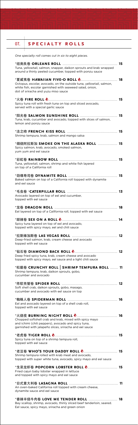| SPECIALTY ROLLS<br>07.                                                                                                                                                 |    |
|------------------------------------------------------------------------------------------------------------------------------------------------------------------------|----|
| One specialty roll comes cut in six to eight pieces.                                                                                                                   |    |
| Tuna, yellowtail, salmon, snapper, daikon sprouts and krab wrapped<br>around a thinly peeled cucumber, topped with ponzu sauce                                         |    |
| Octopus, escolar, avocado, on the outside tuna, yellowtail, salmon,<br>white fish, escolar garnished with seaweed salad, onion,<br>dot of sriracha and yuzu miso sauce |    |
| Spicy tuna roll with fresh tuna on top and sliced avocado,<br>served with a special garlic sauce                                                                       |    |
| Tuna, krab, cucumber and avocado, topped with slices of salmon,<br>lemon and ponzu sauce                                                                               |    |
| Shrimp tempura, krab, salmon and mango salsa                                                                                                                           |    |
| *烟烧阿拉斯加 SMOKE ON THE ALASKA ROLL  15<br>Spicy salmon, krab, avocado, smoked salmon,<br>yum yum and eel sauce                                                           |    |
| Tuna, yellowtail, salmon, shrimp and white fish layered<br>on top of a California roll                                                                                 |    |
| Baked salmon on top of a California roll topped with dynamite<br>and eel sauce                                                                                         | 15 |
| Avocado layered on top of eel and cucumber,<br>topped with eel sauce                                                                                                   |    |
| Eel layered on top of a California roll, topped with eel sauce                                                                                                         |    |
| Spicy tuna layered on top of eel and avocado,<br>topped with spicy mayo, eel and chili sauce                                                                           |    |
| Deep-fried salmon, krab, cream cheese and avocado<br>topped with eel sauce                                                                                             |    |
| Deep fried spicy tuna, krab, cream cheese and avocado<br>topped with spicy mayo, eel sauce and a light chili sauce                                                     |    |
| *松脆卷 CRUNCHY ROLL   SHRIMP TEMPURA ROLL  11<br>Shrimp tempura, krab, daikon sprouts, gobo,<br>cucumber and avocado                                                     |    |
| Soft shell crab, daikon sprouts, gobo, masago,<br>cucumber and avocado with eel sauce on top                                                                           |    |
|                                                                                                                                                                        |    |

| Eel and avocado layered on top of a shell crab roll, |  |
|------------------------------------------------------|--|
| topped with eel sauce                                |  |

| Chopped softshell crab and krab, mixed with spicy mayo<br>and ichimi (chili peppers), avocado and spicy tuna,<br>garnished with jalapeño slices, sriracha and eel sauce | 16 |
|-------------------------------------------------------------------------------------------------------------------------------------------------------------------------|----|
| Spicy tuna on top of a shrimp tempura roll,<br>topped with eel sauce                                                                                                    |    |
| Shrimp tempura rolled with krab meat and avocado,<br>topped with super white tuna, avocado, spicy mayo and eel sauce                                                    |    |
| Fried cajun baby lobster wrapped in lettuce<br>and topped with spicy mayo and eel sauce                                                                                 |    |
| An oven-baked California roll topped with cream cheese,<br>dynamite sauce and eel sauce                                                                                 | 11 |
| Bay scallop, shrimp, avocado, thinly sliced beef tenderloin, seared.<br>Eel sauce, spicy mayo, sriracha and green onion                                                 | 18 |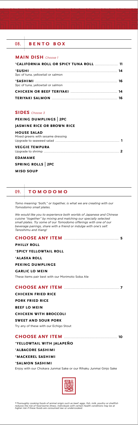*Tomo meaning "both," or together, is what we are creating with our Tomodomo small plates.*

*We would like you to experience both worlds of Japanese and Chinese cuisine "together" by mixing and matching our specially selected small plates. Try some of our Tomodomo offerings with one of our beverage pairings, share with a friend or indulge with one's self. Tanoshimu and Xiang!*

#### **choose any item** ............................................................................. **<sup>5</sup>**

### **philly roll** \***spicy yellowtail roll**  \***alaska roll peking dumplings garlic lo mein** These items pair best with our Morimoto Soba Ale

#### **choose any item** .............................................................................. **<sup>7</sup>**

**chicken fried rice pork fried rice beef lo mein**

#### **chicken with broccoli**

#### **sweet and sour pork**

Try any of these with our Echigo Stout

## **choose any item** ........................................................................... **<sup>10</sup>**

#### \***yellowtail with jalapeño**

#### \***albacore sashimi**

#### \***mackerel sashimi**

#### \***salmon sashimi**

Enjoy with our Chokara Junmai Sake or our Rihaku Junmai Ginjo Sake



## 09. **tomodomo**

#### 08. **bento box**

#### **main dish** *Choose 1*

| *CALIFORNIA ROLL OR SPICY TUNA ROLL  11 |  |
|-----------------------------------------|--|
| 3pc of tuna, yellowtail or salmon       |  |
| 3pc of tuna, yellowtail or salmon       |  |
|                                         |  |
|                                         |  |

#### **SIDES** Choose 3

#### **peking dumplings** | **2PC**

#### **jasmine rice or brown rice**

#### **house salad**

| <b>VEGGIE TEMPURA</b>             |  |
|-----------------------------------|--|
|                                   |  |
| Mixed greens with sesame dressing |  |

#### Upgrade to shrimp ......................................................................................................... **2**

#### **edamame**

#### **spring rolls** | **2PC**

#### **miso soup**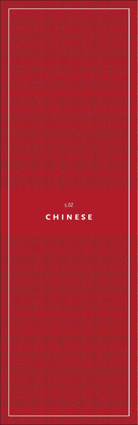

 $s.02$ CHINESE

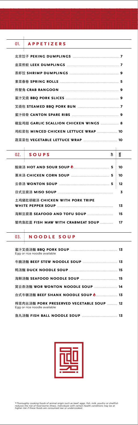蟹肉鱼肚羹 **fish maw with crabmeat soup** ................... **17**

|  | $02.$ SOUPS                                                                             | 흥 | wa |
|--|-----------------------------------------------------------------------------------------|---|----|
|  |                                                                                         |   | 10 |
|  |                                                                                         |   | 10 |
|  |                                                                                         |   | 12 |
|  |                                                                                         |   | 3  |
|  | 土鸡猪肚胡椒汤 CHICKEN WITH PORK TRIPE<br>WHITE PEPPER SOUP AND A CONTROLLER WHITE PEPPER SOUP |   | 13 |
|  |                                                                                         |   | 15 |

| 01. APPETIZERS                        |  |
|---------------------------------------|--|
|                                       |  |
|                                       |  |
|                                       |  |
|                                       |  |
|                                       |  |
|                                       |  |
|                                       |  |
|                                       |  |
|                                       |  |
| 椒盐鸡翅 GARLIC SCALLION CHICKEN WINGS  8 |  |
| 鸡松菜包 MINCED CHICKEN LETTUCE WRAP  10  |  |
|                                       |  |

| 03. NOODLE SOUP |
|-----------------|
|-----------------|

 $\overline{a}$ 

<u> 1980 - Andrea Stadt Britain, amerikansk politik (</u>

| Egg or rice noodle available                                             |  |
|--------------------------------------------------------------------------|--|
|                                                                          |  |
|                                                                          |  |
|                                                                          |  |
| 窝云吞汤麵 WOR WONTON NOODLE SOUP  14                                         |  |
| 台式牛辗汤麵 BEEF SHANK NOODLE SOUP  13                                        |  |
| 榨菜肉丝汤麵 PORK PRESERVED VEGETABLE SOUP  12<br>Egg or rice noodle available |  |

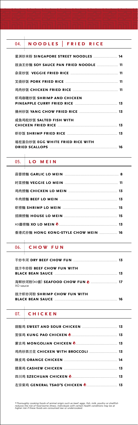## 06. **chow fun**

## 07. **chicken**

\*Thoroughly cooking foods of animal origin such as beef, eggs, fish, milk, poultry or shellfish<br>reduces the risk of food borne illness. Individuals with certain health conditions may be at<br>higher risk if these foods are co

## 05. **l o m e i n**

| 豉汁牛炒粉 BEEF CHOW FUN WITH                             |    |
|------------------------------------------------------|----|
| 海鲜炒河粉(xo酱) SEAFOOD CHOW FUN <u>♪ </u> 17<br>XO sauce |    |
| 豉汁虾炒河粉 SHRIMP CHOW FUN WITH                          | 16 |

Τ

| 香港式炒麵 HONG KONG-STYLE CHOW MEIN  16 |  |
|-------------------------------------|--|

| 04. | <b>NOODLES</b>                       | <b>FRIED RICE</b> |  |
|-----|--------------------------------------|-------------------|--|
|     |                                      |                   |  |
|     |                                      |                   |  |
|     | 豉油王炒麵 SOY SAUCE PAN FRIED NOODLE  11 |                   |  |
|     |                                      |                   |  |
|     |                                      |                   |  |
|     |                                      |                   |  |
|     | 虾鸡咖喱炒饭 SHRIMP AND CHICKEN            |                   |  |
|     |                                      |                   |  |
|     |                                      |                   |  |
|     | 咸鱼鸡粒炒饭 SALTED FISH WITH              |                   |  |
|     | CHICKEN FRIED RICE 13                |                   |  |
|     |                                      |                   |  |
|     | 瑤柱蛋白炒饭 EGG WHITE FRIED RICE WITH     |                   |  |
|     |                                      |                   |  |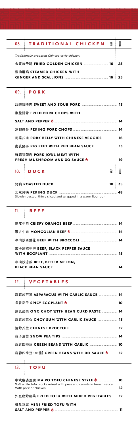## 11. **beef**

Ţ

Ţ

| 09. <b>PORK</b> |  |
|-----------------|--|
|                 |  |
|                 |  |

| 炸豆腐炒蔬菜 FRIED TOFU WITH MIXED VEGETABLES  12 |  |  |  |  |  |  |  |  |
|---------------------------------------------|--|--|--|--|--|--|--|--|
|---------------------------------------------|--|--|--|--|--|--|--|--|

#### 椒盐豆腐 **mini fried tofu with**

|  |  | SALT AND PEPPER O |  |  |  |  |
|--|--|-------------------|--|--|--|--|
|--|--|-------------------|--|--|--|--|

| 茄子黑椒牛柳 BEEF, BLACK PEPPER SAUCE |  |
|---------------------------------|--|
| 牛肉炒涼瓜 BEEF, BITTER MELON,       |  |

| 12. VEGETABLES |  |  |
|----------------|--|--|
|                |  |  |

| 蒜蓉炒菜心 CHOY SUM WITH GARLIC SAUCE  13                              |    |  |  |  |
|-------------------------------------------------------------------|----|--|--|--|
|                                                                   |    |  |  |  |
|                                                                   |    |  |  |  |
|                                                                   |    |  |  |  |
|                                                                   |    |  |  |  |
|                                                                   |    |  |  |  |
| 13. <b>TOFU</b>                                                   |    |  |  |  |
| Soft white tofu blocks mixed with peas and carrots in brown sauce |    |  |  |  |
|                                                                   | 12 |  |  |  |

| 蒜蓉炒芦笋 ASPARAGUS WITH GARLIC SAUCE  14  |  |
|----------------------------------------|--|
|                                        |  |
| 腐乳通菜 ONG CHOY WITH BEAN CURD PASTE  14 |  |

|--|--|--|--|--|--|--|--|--|--|--|--|--|--|

| 椒盐排骨 FRIED PORK CHOPS WITH                             |                    |  |  |  |  |  |
|--------------------------------------------------------|--------------------|--|--|--|--|--|
| SALT AND PEPPER <b>O 2000 CONSUMING MANUSCRIPT</b> 14  |                    |  |  |  |  |  |
|                                                        |                    |  |  |  |  |  |
| 梅菜扣肉 PORK BELLY WITH CHINESE VEGGIES  16               |                    |  |  |  |  |  |
|                                                        |                    |  |  |  |  |  |
| 鲜菇猪颈肉 PORK JOWL MEAT WITH                              |                    |  |  |  |  |  |
| FRESH MUSHROOM AND XO SAUCE <b>O MARIDE SERVICE 19</b> |                    |  |  |  |  |  |
| $10.$ DUCK                                             | <b>VHOLE</b><br>≩i |  |  |  |  |  |
|                                                        | - 35               |  |  |  |  |  |
|                                                        | 48                 |  |  |  |  |  |

| 08. TRADITIONAL CHICKEN                       | ₹  | WН |  |  |
|-----------------------------------------------|----|----|--|--|
| Traditionally prepared Chinese-style chicken. |    |    |  |  |
|                                               | 16 | 25 |  |  |
| 葱油滑鸡 STEAMED CHICKEN WITH                     |    |    |  |  |

Slowly roasted, thinly sliced and wrapped in a warm flour bun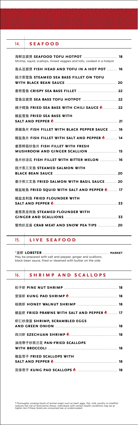## 15. **live seafood**

÷

| 14.<br><b>SEAFOOD</b>                                                                  |    |
|----------------------------------------------------------------------------------------|----|
| Shrimp, squid, scallops, mixed veggies and tofu, cooked in a hotpot                    |    |
| 鱼头豆腐煲 FISH HEAD AND TOFU IN A HOT POT  16                                              |    |
| 豉汁蒸雪鱼 STEAMED SEA BASS FILLET ON TOFU                                                  |    |
|                                                                                        |    |
|                                                                                        |    |
| 辣汁鳕鱼 FRIED SEA BASS WITH CHILI SAUCE ●  22                                             |    |
| 椒盐雪鱼 FRIED SEA BASS WITH<br>SALT AND PEPPER <b>O 21 April 21</b>                       |    |
| 黑椒鱼片 FISH FILLET WITH BLACK PEPPER SAUCE  16                                           |    |
| 椒盐鱼片 FISH FILLET WITH SALT AND PEPPER ●  14                                            |    |
| 姜葱鲜菇炒鱼片 FISH FILLET WITH FRESH                                                         |    |
| 鱼片炒凉瓜 FISH FILLET WITH BITTER MELON  16                                                |    |
| 豉汁蒸三文鱼 STEAMED SALMON WITH<br><b>BLACK BEAN SAUCE MANULE AND SEXUAL SERVICE 20</b>     |    |
| 香汁煎三文鱼 FRIED SALMON WITH BASIL SAUCE  20                                               |    |
| 椒盐鱿鱼 FRIED SQUID WITH SALT AND PEPPER ●                                                | 17 |
| 椒盐龙利鱼 FRIED FLOUNDER WITH<br>SALT AND PEPPER <b>O 2000 CONSUMING MALLET AND TEPPER</b> |    |
| 姜葱蒸龙利鱼 STEAMED FLOUNDER WITH<br>GINGER AND SCALLIONS <b>Example 2008</b> 33            |    |
| 蟹肉扒豆苗 CRAB MEAT AND SNOW PEA TIPS  20                                                  |    |

| 16. SHRIMP AND SCALLOPS |  |
|-------------------------|--|
|                         |  |
|                         |  |
|                         |  |

| 椒盐虾 FRIED PRAWNS WITH SALT AND PEPPER <u>● </u> 17                         |  |
|----------------------------------------------------------------------------|--|
| 虾仁炒滑蛋 SHRIMP, SCRAMBLED EGGS<br><b>AND GREEN ONION MANUFACTURE 18</b>      |  |
|                                                                            |  |
| 油泡帶子炒西兰花 PAN-FRIED SCALLOPS<br>WITH BROCCOLI <b>EXECUTE 28</b> 18          |  |
| 椒盐带子 FRIED SCALLOPS WITH<br>SALT AND PEPPER <b>O 2000 CONTROL</b> 2000 218 |  |
|                                                                            |  |

\*Thoroughly cooking foods of animal origin such as beef, eggs, fish, milk, poultry or shellfish<br>reduces the risk of food borne illness. Individuals with certain health conditions may be at<br>higher risk if these foods are co

\*龙虾 **lobster** ............................................................................................ **MARKET** May be prepared with salt and pepper, ginger and scallions, black bean sauce, fried or steamed with butter on the side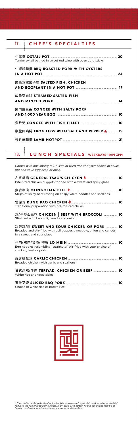| 17. CHEF'S SPECIALTIES                                       |  |
|--------------------------------------------------------------|--|
| Tender oxtail bathed in sweet red wine with bean curd sticks |  |
| 生蠔烧腩煲 BBQ ROASTED PORK WITH OYSTERS                          |  |
| 咸鱼鸡粒茄子煲 SALTED FISH, CHICKEN                                 |  |
| 咸鱼蒸肉饼 STEAMED SALTED FISH                                    |  |
| 咸肉皮蛋粥 CONGEE WITH SALTY PORK                                 |  |
|                                                              |  |
| 椒盐田鸡腿 FROG LEGS WITH SALT AND PEPPER ♪ 19                    |  |
|                                                              |  |

## 18. **lunch specials WEEKDAYS 11AM-3PM**

*Comes with one spring roll, a side of fried rice and your choice of soup: hot and sour, egg drop or miso.* 左宗棠鸡 **general tsao's chicken** ............................................ **<sup>10</sup>** Bite-sized chicken nuggets topped with a sweet and spicy glaze 蒙古牛肉 **mongolian beef** .................................................................. **10** Strips of spicy beef resting on crispy white noodles and scallions 宫保鸡 **kung pao chicken** ................................................................. **10** Traditional preparation with fire-roasted chilies 鸡/牛炒西兰花 **chicken** | **beef with broccoli** ................... **10** Stir-fried with broccoli, carrots and onion 甜酸鸡/肉 **sweet and sour chicken or pork** ................. **10** Breaded and stir-fried with bell pepper, pineapple, onion and carrots in a sweet and sour glaze 牛肉/鸡肉/叉烧/ 捞麵 **lo mein** ..................................................................... **10** Egg noodles resembling "spaghetti" stir-fried with your choice of chicken, beef or pork 蒜蓉椒盐鸡 **garlic chicken** .................................................................... **10** Breaded chicken with garlic and scallions 日式烤鸡/牛肉 **teriyaki chicken or beef** ................................. **10** White rice and vegetables 蜜汁叉烧 **sliced bbq pork** ........................................................................ **10** Choice of white rice or brown rice

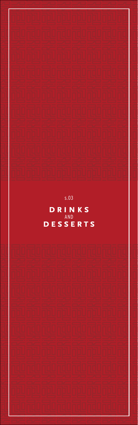

 $s.03$ 

DRINKS AND **DESSERTS** 

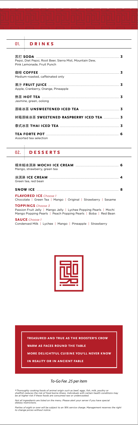| Mango, strawberry, green tea                                                                                                                                   |
|----------------------------------------------------------------------------------------------------------------------------------------------------------------|
| Green tea, red bean                                                                                                                                            |
|                                                                                                                                                                |
| <b>FLAVORED ICE</b> Choose 1<br>Chocolate   Green Tea   Mango   Original   Strawberry   Sesame                                                                 |
| <b>TOPPINGS</b> Choose 3<br>Passion Fruit Jelly   Mango Jelly   Lychee Popping Pearls   Mochi<br>Mango Popping Pearls   Peach Popping Pearls   Boba   Red Bean |
| <b>SAUCE</b> Choose 1<br>Condensed Milk   Lychee   Mango   Pineapple   Strawberry                                                                              |



| 01.                                                                                    | DRINKS                              |  |
|----------------------------------------------------------------------------------------|-------------------------------------|--|
| Pepsi, Diet Pepsi, Root Beer, Sierra Mist, Mountain Dew,<br>Pink Lemonade, Fruit Punch |                                     |  |
|                                                                                        | Medium-roasted, caffeinated only    |  |
|                                                                                        | Apple, Cranberry, Orange, Pineapple |  |
|                                                                                        | Jasmine, green, oolong              |  |
|                                                                                        |                                     |  |
|                                                                                        |                                     |  |
|                                                                                        |                                     |  |
| Assorted tea selection                                                                 |                                     |  |

## 02. **DESSERTS**



*Not all ingredients are listed on the menu. Please alert your server if you have special dietary restrictions.*

*Parties of eight or over will be subject to an 18% service charge. Management reserves the right to change prices without notice.*

#### *To-Go Fee .25 per item*